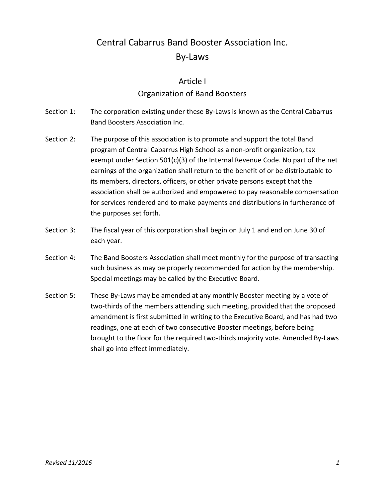# Central Cabarrus Band Booster Association Inc. By-Laws

#### Article I

### Organization of Band Boosters

- Section 1: The corporation existing under these By-Laws is known as the Central Cabarrus Band Boosters Association Inc.
- Section 2: The purpose of this association is to promote and support the total Band program of Central Cabarrus High School as a non-profit organization, tax exempt under Section 501(c)(3) of the Internal Revenue Code. No part of the net earnings of the organization shall return to the benefit of or be distributable to its members, directors, officers, or other private persons except that the association shall be authorized and empowered to pay reasonable compensation for services rendered and to make payments and distributions in furtherance of the purposes set forth.
- Section 3: The fiscal year of this corporation shall begin on July 1 and end on June 30 of each year.
- Section 4: The Band Boosters Association shall meet monthly for the purpose of transacting such business as may be properly recommended for action by the membership. Special meetings may be called by the Executive Board.
- Section 5: These By-Laws may be amended at any monthly Booster meeting by a vote of two-thirds of the members attending such meeting, provided that the proposed amendment is first submitted in writing to the Executive Board, and has had two readings, one at each of two consecutive Booster meetings, before being brought to the floor for the required two-thirds majority vote. Amended By-Laws shall go into effect immediately.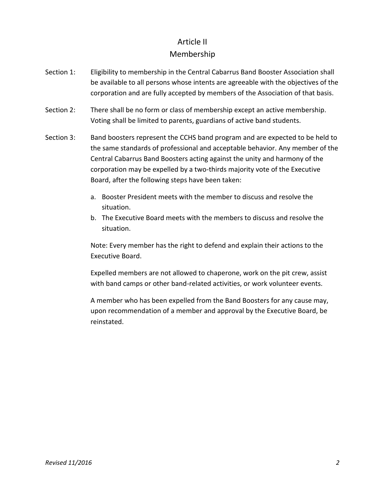### Article II

### Membership

- Section 1: Eligibility to membership in the Central Cabarrus Band Booster Association shall be available to all persons whose intents are agreeable with the objectives of the corporation and are fully accepted by members of the Association of that basis.
- Section 2: There shall be no form or class of membership except an active membership. Voting shall be limited to parents, guardians of active band students.
- Section 3: Band boosters represent the CCHS band program and are expected to be held to the same standards of professional and acceptable behavior. Any member of the Central Cabarrus Band Boosters acting against the unity and harmony of the corporation may be expelled by a two-thirds majority vote of the Executive Board, after the following steps have been taken:
	- a. Booster President meets with the member to discuss and resolve the situation.
	- b. The Executive Board meets with the members to discuss and resolve the situation.

Note: Every member has the right to defend and explain their actions to the Executive Board.

Expelled members are not allowed to chaperone, work on the pit crew, assist with band camps or other band-related activities, or work volunteer events.

A member who has been expelled from the Band Boosters for any cause may, upon recommendation of a member and approval by the Executive Board, be reinstated.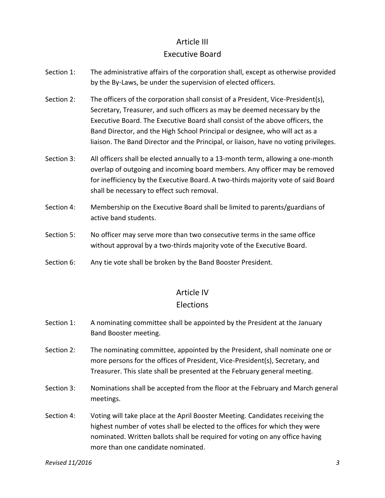## Article III Executive Board

- Section 1: The administrative affairs of the corporation shall, except as otherwise provided by the By-Laws, be under the supervision of elected officers.
- Section 2: The officers of the corporation shall consist of a President, Vice-President(s), Secretary, Treasurer, and such officers as may be deemed necessary by the Executive Board. The Executive Board shall consist of the above officers, the Band Director, and the High School Principal or designee, who will act as a liaison. The Band Director and the Principal, or liaison, have no voting privileges.
- Section 3: All officers shall be elected annually to a 13-month term, allowing a one-month overlap of outgoing and incoming board members. Any officer may be removed for inefficiency by the Executive Board. A two-thirds majority vote of said Board shall be necessary to effect such removal.
- Section 4: Membership on the Executive Board shall be limited to parents/guardians of active band students.
- Section 5: No officer may serve more than two consecutive terms in the same office without approval by a two-thirds majority vote of the Executive Board.
- Section 6: Any tie vote shall be broken by the Band Booster President.

### Article IV

#### Elections

- Section 1: A nominating committee shall be appointed by the President at the January Band Booster meeting.
- Section 2: The nominating committee, appointed by the President, shall nominate one or more persons for the offices of President, Vice-President(s), Secretary, and Treasurer. This slate shall be presented at the February general meeting.
- Section 3: Nominations shall be accepted from the floor at the February and March general meetings.
- Section 4: Voting will take place at the April Booster Meeting. Candidates receiving the highest number of votes shall be elected to the offices for which they were nominated. Written ballots shall be required for voting on any office having more than one candidate nominated.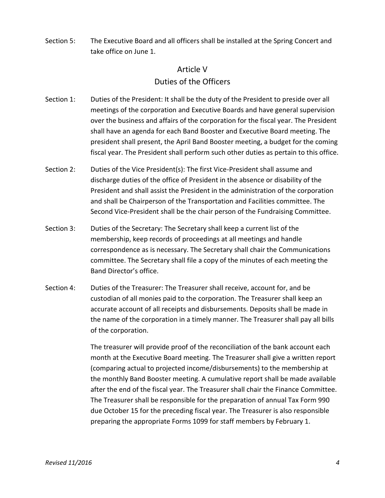Section 5: The Executive Board and all officers shall be installed at the Spring Concert and take office on June 1.

### Article V Duties of the Officers

- Section 1: Duties of the President: It shall be the duty of the President to preside over all meetings of the corporation and Executive Boards and have general supervision over the business and affairs of the corporation for the fiscal year. The President shall have an agenda for each Band Booster and Executive Board meeting. The president shall present, the April Band Booster meeting, a budget for the coming fiscal year. The President shall perform such other duties as pertain to this office.
- Section 2: Duties of the Vice President(s): The first Vice-President shall assume and discharge duties of the office of President in the absence or disability of the President and shall assist the President in the administration of the corporation and shall be Chairperson of the Transportation and Facilities committee. The Second Vice-President shall be the chair person of the Fundraising Committee.
- Section 3: Duties of the Secretary: The Secretary shall keep a current list of the membership, keep records of proceedings at all meetings and handle correspondence as is necessary. The Secretary shall chair the Communications committee. The Secretary shall file a copy of the minutes of each meeting the Band Director's office.
- Section 4: Duties of the Treasurer: The Treasurer shall receive, account for, and be custodian of all monies paid to the corporation. The Treasurer shall keep an accurate account of all receipts and disbursements. Deposits shall be made in the name of the corporation in a timely manner. The Treasurer shall pay all bills of the corporation.

The treasurer will provide proof of the reconciliation of the bank account each month at the Executive Board meeting. The Treasurer shall give a written report (comparing actual to projected income/disbursements) to the membership at the monthly Band Booster meeting. A cumulative report shall be made available after the end of the fiscal year. The Treasurer shall chair the Finance Committee. The Treasurer shall be responsible for the preparation of annual Tax Form 990 due October 15 for the preceding fiscal year. The Treasurer is also responsible preparing the appropriate Forms 1099 for staff members by February 1.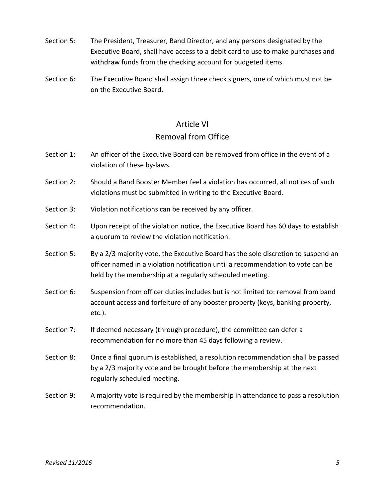- Section 5: The President, Treasurer, Band Director, and any persons designated by the Executive Board, shall have access to a debit card to use to make purchases and withdraw funds from the checking account for budgeted items.
- Section 6: The Executive Board shall assign three check signers, one of which must not be on the Executive Board.

### Article VI

#### Removal from Office

- Section 1: An officer of the Executive Board can be removed from office in the event of a violation of these by-laws.
- Section 2: Should a Band Booster Member feel a violation has occurred, all notices of such violations must be submitted in writing to the Executive Board.
- Section 3: Violation notifications can be received by any officer.
- Section 4: Upon receipt of the violation notice, the Executive Board has 60 days to establish a quorum to review the violation notification.
- Section 5: By a 2/3 majority vote, the Executive Board has the sole discretion to suspend an officer named in a violation notification until a recommendation to vote can be held by the membership at a regularly scheduled meeting.
- Section 6: Suspension from officer duties includes but is not limited to: removal from band account access and forfeiture of any booster property (keys, banking property, etc.).
- Section 7: If deemed necessary (through procedure), the committee can defer a recommendation for no more than 45 days following a review.
- Section 8: Once a final quorum is established, a resolution recommendation shall be passed by a 2/3 majority vote and be brought before the membership at the next regularly scheduled meeting.
- Section 9: A majority vote is required by the membership in attendance to pass a resolution recommendation.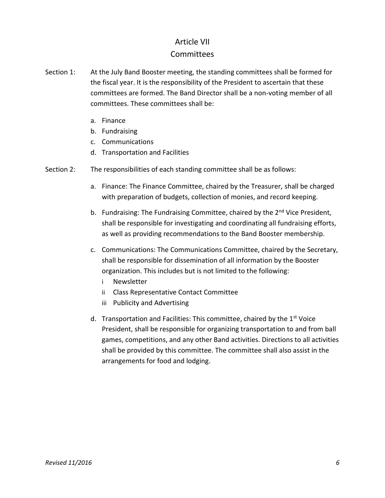### Article VII **Committees**

- Section 1: At the July Band Booster meeting, the standing committees shall be formed for the fiscal year. It is the responsibility of the President to ascertain that these committees are formed. The Band Director shall be a non-voting member of all committees. These committees shall be:
	- a. Finance
	- b. Fundraising
	- c. Communications
	- d. Transportation and Facilities
- Section 2: The responsibilities of each standing committee shall be as follows:
	- a. Finance: The Finance Committee, chaired by the Treasurer, shall be charged with preparation of budgets, collection of monies, and record keeping.
	- b. Fundraising: The Fundraising Committee, chaired by the 2<sup>nd</sup> Vice President, shall be responsible for investigating and coordinating all fundraising efforts, as well as providing recommendations to the Band Booster membership.
	- c. Communications: The Communications Committee, chaired by the Secretary, shall be responsible for dissemination of all information by the Booster organization. This includes but is not limited to the following:
		- i Newsletter
		- ii Class Representative Contact Committee
		- iii Publicity and Advertising
	- d. Transportation and Facilities: This committee, chaired by the 1<sup>st</sup> Voice President, shall be responsible for organizing transportation to and from ball games, competitions, and any other Band activities. Directions to all activities shall be provided by this committee. The committee shall also assist in the arrangements for food and lodging.